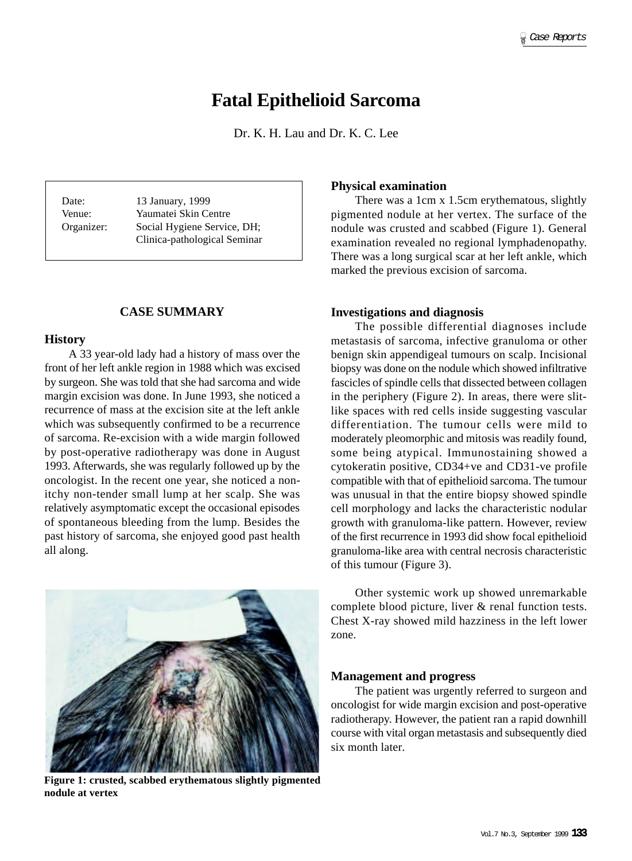# **Fatal Epithelioid Sarcoma**

Dr. K. H. Lau and Dr. K. C. Lee

Date: 13 January, 1999 Venue: Yaumatei Skin Centre Organizer: Social Hygiene Service, DH; Clinica-pathological Seminar

# **CASE SUMMARY**

#### **History**

A 33 year-old lady had a history of mass over the front of her left ankle region in 1988 which was excised by surgeon. She was told that she had sarcoma and wide margin excision was done. In June 1993, she noticed a recurrence of mass at the excision site at the left ankle which was subsequently confirmed to be a recurrence of sarcoma. Re-excision with a wide margin followed by post-operative radiotherapy was done in August 1993. Afterwards, she was regularly followed up by the oncologist. In the recent one year, she noticed a nonitchy non-tender small lump at her scalp. She was relatively asymptomatic except the occasional episodes of spontaneous bleeding from the lump. Besides the past history of sarcoma, she enjoyed good past health all along.



**Figure 1: crusted, scabbed erythematous slightly pigmented nodule at vertex**

## **Physical examination**

There was a 1cm x 1.5cm erythematous, slightly pigmented nodule at her vertex. The surface of the nodule was crusted and scabbed (Figure 1). General examination revealed no regional lymphadenopathy. There was a long surgical scar at her left ankle, which marked the previous excision of sarcoma.

#### **Investigations and diagnosis**

The possible differential diagnoses include metastasis of sarcoma, infective granuloma or other benign skin appendigeal tumours on scalp. Incisional biopsy was done on the nodule which showed infiltrative fascicles of spindle cells that dissected between collagen in the periphery (Figure 2). In areas, there were slitlike spaces with red cells inside suggesting vascular differentiation. The tumour cells were mild to moderately pleomorphic and mitosis was readily found, some being atypical. Immunostaining showed a cytokeratin positive, CD34+ve and CD31-ve profile compatible with that of epithelioid sarcoma. The tumour was unusual in that the entire biopsy showed spindle cell morphology and lacks the characteristic nodular growth with granuloma-like pattern. However, review of the first recurrence in 1993 did show focal epithelioid granuloma-like area with central necrosis characteristic of this tumour (Figure 3).

Other systemic work up showed unremarkable complete blood picture, liver & renal function tests. Chest X-ray showed mild hazziness in the left lower zone.

#### **Management and progress**

The patient was urgently referred to surgeon and oncologist for wide margin excision and post-operative radiotherapy. However, the patient ran a rapid downhill course with vital organ metastasis and subsequently died six month later.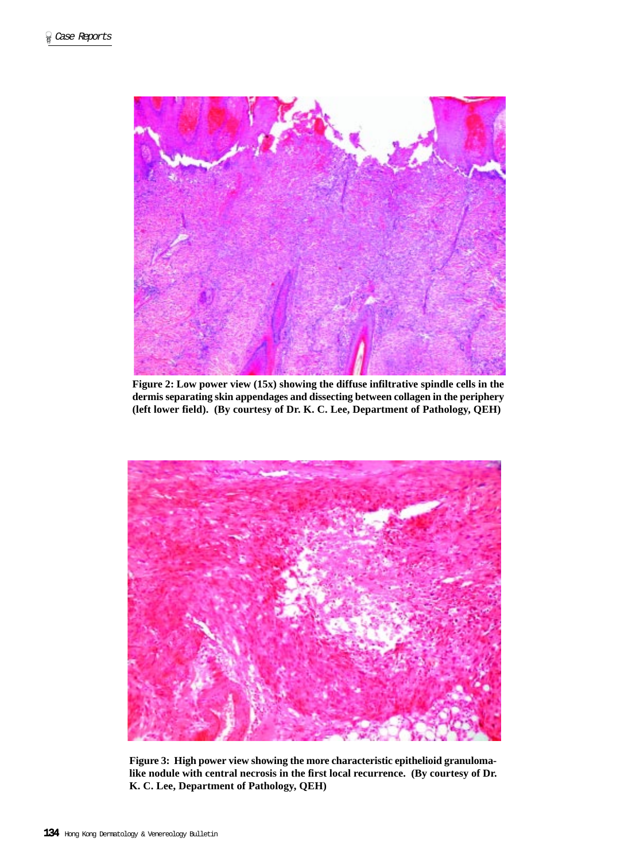

**Figure 2: Low power view (15x) showing the diffuse infiltrative spindle cells in the dermis separating skin appendages and dissecting between collagen in the periphery (left lower field). (By courtesy of Dr. K. C. Lee, Department of Pathology, QEH)**



**Figure 3: High power view showing the more characteristic epithelioid granulomalike nodule with central necrosis in the first local recurrence. (By courtesy of Dr. K. C. Lee, Department of Pathology, QEH)**